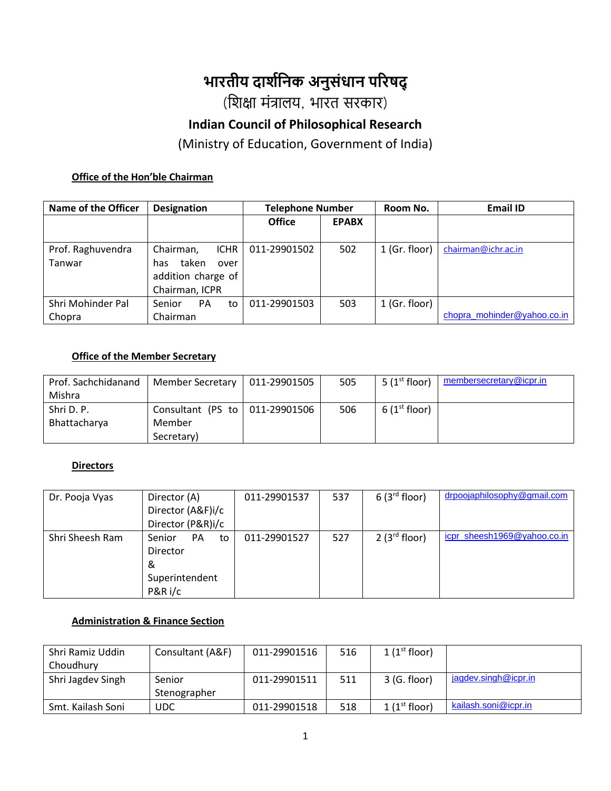# **भारतीय दार्शनिक अिुसंधाि पररषद्**

(शिक्षा मंत्रालय, भारत सरकार)

# **Indian Council of Philosophical Research**

(Ministry of Education, Government of India)

#### **Office of the Hon'ble Chairman**

| <b>Name of the Officer</b> | <b>Designation</b>        | <b>Telephone Number</b> |              | Room No.        | <b>Email ID</b>             |
|----------------------------|---------------------------|-------------------------|--------------|-----------------|-----------------------------|
|                            |                           | <b>Office</b>           | <b>EPABX</b> |                 |                             |
|                            |                           |                         |              |                 |                             |
| Prof. Raghuvendra          | Chairman,<br><b>ICHR</b>  | 011-29901502            | 502          | $1$ (Gr. floor) | chairman@ichr.ac.in         |
| Tanwar                     | taken<br>has<br>over      |                         |              |                 |                             |
|                            | addition charge of        |                         |              |                 |                             |
|                            | Chairman, ICPR            |                         |              |                 |                             |
| Shri Mohinder Pal          | <b>Senior</b><br>PA<br>to | 011-29901503            | 503          | 1 (Gr. floor)   |                             |
| Chopra                     | Chairman                  |                         |              |                 | chopra_mohinder@yahoo.co.in |

#### **Office of the Member Secretary**

| Prof. Sachchidanand | Member Secretary               | 011-29901505 | 505 | 5 $(1st floor)$          | membersecretary@icpr.in |
|---------------------|--------------------------------|--------------|-----|--------------------------|-------------------------|
| Mishra              |                                |              |     |                          |                         |
| Shri D. P.          | Consultant (PS to 011-29901506 |              | 506 | 6(1 <sup>st</sup> floor) |                         |
| Bhattacharya        | Member                         |              |     |                          |                         |
|                     | Secretary)                     |              |     |                          |                         |

#### **Directors**

| Dr. Pooja Vyas  | Director (A)              | 011-29901537 | 537 | $6(3^{rd}$ floor) | drpoojaphilosophy@gmail.com |
|-----------------|---------------------------|--------------|-----|-------------------|-----------------------------|
|                 | Director (A&F)i/c         |              |     |                   |                             |
|                 | Director (P&R)i/c         |              |     |                   |                             |
| Shri Sheesh Ram | Senior<br><b>PA</b><br>to | 011-29901527 | 527 | $2(3^{rd}$ floor) | icpr sheesh1969@yahoo.co.in |
|                 | Director                  |              |     |                   |                             |
|                 | &                         |              |     |                   |                             |
|                 | Superintendent            |              |     |                   |                             |
|                 | P&R i/c                   |              |     |                   |                             |

#### **Administration & Finance Section**

| Shri Ramiz Uddin  | Consultant (A&F) | 011-29901516 | 516 | $1(1^{\rm st}$ floor) |                      |
|-------------------|------------------|--------------|-----|-----------------------|----------------------|
| Choudhury         |                  |              |     |                       |                      |
| Shri Jagdev Singh | Senior           | 011-29901511 | 511 | $3$ (G. floor)        | jagdev.singh@icpr.in |
|                   | Stenographer     |              |     |                       |                      |
| Smt. Kailash Soni | UDC              | 011-29901518 | 518 | $1(1^{st}$ floor)     | kailash.soni@icpr.in |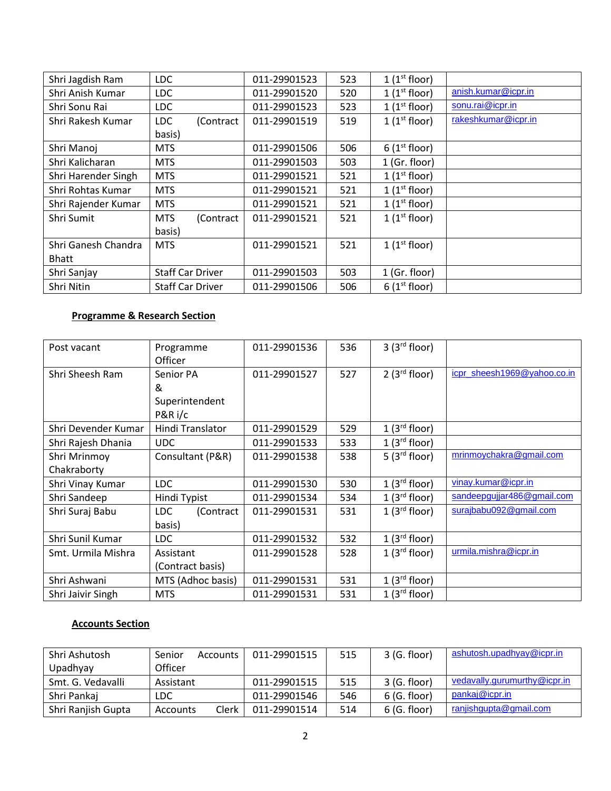| Shri Jagdish Ram    | <b>LDC</b>              | 011-29901523 | 523 | $1(1^{st}$ floor)        |                     |
|---------------------|-------------------------|--------------|-----|--------------------------|---------------------|
| Shri Anish Kumar    | <b>LDC</b>              | 011-29901520 | 520 | $1(1^{st}$ floor)        | anish.kumar@icpr.in |
| Shri Sonu Rai       | <b>LDC</b>              | 011-29901523 | 523 | $1(1^{st}$ floor)        | sonu.rai@icpr.in    |
| Shri Rakesh Kumar   | LDC<br>(Contract        | 011-29901519 | 519 | $1(1^{st}$ floor)        | rakeshkumar@icpr.in |
|                     | basis)                  |              |     |                          |                     |
| Shri Manoj          | <b>MTS</b>              | 011-29901506 | 506 | $6(1^{st}$ floor)        |                     |
| Shri Kalicharan     | <b>MTS</b>              | 011-29901503 | 503 | 1 (Gr. floor)            |                     |
| Shri Harender Singh | <b>MTS</b>              | 011-29901521 | 521 | $1(1^{st}$ floor)        |                     |
| Shri Rohtas Kumar   | MTS                     | 011-29901521 | 521 | $1(1^{st}$ floor)        |                     |
| Shri Rajender Kumar | <b>MTS</b>              | 011-29901521 | 521 | $1(1^{st}$ floor)        |                     |
| Shri Sumit          | <b>MTS</b><br>(Contract | 011-29901521 | 521 | $1(1^{st}$ floor)        |                     |
|                     | basis)                  |              |     |                          |                     |
| Shri Ganesh Chandra | <b>MTS</b>              | 011-29901521 | 521 | $1(1^{st}$ floor)        |                     |
| <b>Bhatt</b>        |                         |              |     |                          |                     |
| Shri Sanjay         | Staff Car Driver        | 011-29901503 | 503 | $1$ (Gr. floor)          |                     |
| Shri Nitin          | <b>Staff Car Driver</b> | 011-29901506 | 506 | 6(1 <sup>st</sup> floor) |                     |

### **Programme & Research Section**

| Post vacant         | Programme<br>Officer | 011-29901536 | 536 | 3(3 <sup>rd</sup> floor) |                             |
|---------------------|----------------------|--------------|-----|--------------------------|-----------------------------|
| Shri Sheesh Ram     | Senior PA            | 011-29901527 | 527 | $2(3^{rd}$ floor)        | icpr_sheesh1969@yahoo.co.in |
|                     | &                    |              |     |                          |                             |
|                     | Superintendent       |              |     |                          |                             |
|                     | P&R i/c              |              |     |                          |                             |
| Shri Devender Kumar | Hindi Translator     | 011-29901529 | 529 | 1(3 <sup>rd</sup> floor) |                             |
| Shri Rajesh Dhania  | <b>UDC</b>           | 011-29901533 | 533 | 1(3 <sup>rd</sup> floor) |                             |
| Shri Mrinmoy        | Consultant (P&R)     | 011-29901538 | 538 | 5(3 <sup>rd</sup> floor) | mrinmoychakra@gmail.com     |
| Chakraborty         |                      |              |     |                          |                             |
| Shri Vinay Kumar    | LDC                  | 011-29901530 | 530 | 1(3 <sup>rd</sup> floor) | vinay.kumar@icpr.in         |
| Shri Sandeep        | Hindi Typist         | 011-29901534 | 534 | 1(3 <sup>rd</sup> floor) | sandeepgujjar486@gmail.com  |
| Shri Suraj Babu     | LDC<br>(Contract     | 011-29901531 | 531 | 1(3 <sup>rd</sup> floor) | surajbabu092@gmail.com      |
|                     | basis)               |              |     |                          |                             |
| Shri Sunil Kumar    | LDC                  | 011-29901532 | 532 | 1(3 <sup>rd</sup> floor) |                             |
| Smt. Urmila Mishra  | Assistant            | 011-29901528 | 528 | 1(3 <sup>rd</sup> floor) | urmila.mishra@icpr.in       |
|                     | (Contract basis)     |              |     |                          |                             |
| Shri Ashwani        | MTS (Adhoc basis)    | 011-29901531 | 531 | 1(3 <sup>rd</sup> floor) |                             |
| Shri Jaivir Singh   | <b>MTS</b>           | 011-29901531 | 531 | 1(3 <sup>rd</sup> floor) |                             |

## **Accounts Section**

| Shri Ashutosh      | Senior    | Accounts I | 011-29901515 | 515 | 3 (G. floor) | ashutosh.upadhyay@icpr.in    |
|--------------------|-----------|------------|--------------|-----|--------------|------------------------------|
| Upadhyay           | Officer   |            |              |     |              |                              |
| Smt. G. Vedavalli  | Assistant |            | 011-29901515 | 515 | 3 (G. floor) | vedavally.gurumurthy@icpr.in |
| Shri Pankaj        | LDC       |            | 011-29901546 | 546 | 6 (G. floor) | pankaj@icpr.in               |
| Shri Ranjish Gupta | Accounts  | Clerk      | 011-29901514 | 514 | 6 (G. floor) | ranjishgupta@gmail.com       |